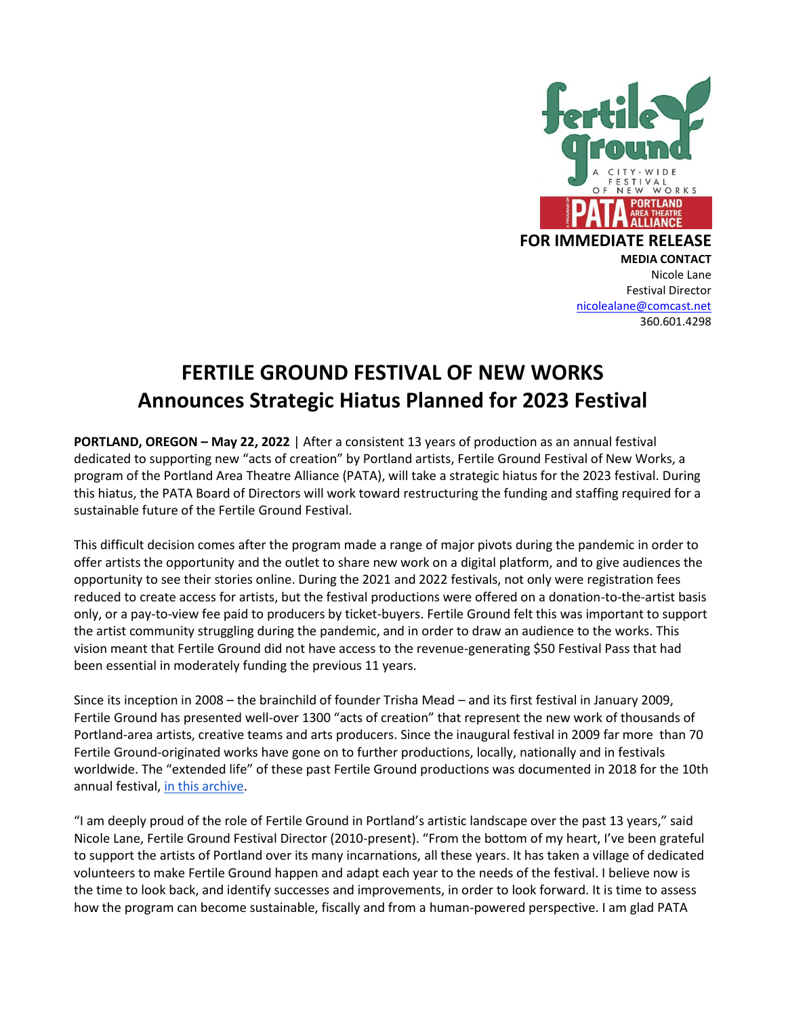

#### **FOR IMMEDIATE RELEASE**

**MEDIA CONTACT** Nicole Lane Festival Director [nicolealane@comcast.net](mailto:nicolealane@comcast.net) 360.601.4298

# **FERTILE GROUND FESTIVAL OF NEW WORKS Announces Strategic Hiatus Planned for 2023 Festival**

**PORTLAND, OREGON – May 22, 2022** | After a consistent 13 years of production as an annual festival dedicated to supporting new "acts of creation" by Portland artists, Fertile Ground Festival of New Works, a program of the Portland Area Theatre Alliance (PATA), will take a strategic hiatus for the 2023 festival. During this hiatus, the PATA Board of Directors will work toward restructuring the funding and staffing required for a sustainable future of the Fertile Ground Festival.

This difficult decision comes after the program made a range of major pivots during the pandemic in order to offer artists the opportunity and the outlet to share new work on a digital platform, and to give audiences the opportunity to see their stories online. During the 2021 and 2022 festivals, not only were registration fees reduced to create access for artists, but the festival productions were offered on a donation-to-the-artist basis only, or a pay-to-view fee paid to producers by ticket-buyers. Fertile Ground felt this was important to support the artist community struggling during the pandemic, and in order to draw an audience to the works. This vision meant that Fertile Ground did not have access to the revenue-generating \$50 Festival Pass that had been essential in moderately funding the previous 11 years.

Since its inception in 2008 – the brainchild of founder Trisha Mead – and its first festival in January 2009, Fertile Ground has presented well-over 1300 "acts of creation" that represent the new work of thousands of Portland-area artists, creative teams and arts producers. Since the inaugural festival in 2009 far more than 70 Fertile Ground-originated works have gone on to further productions, locally, nationally and in festivals worldwide. The "extended life" of these past Fertile Ground productions was documented in 2018 for the 10th annual festival, [in this archive.](https://docs.google.com/spreadsheets/d/1I7bv3wLS3t_5muWYTsoccV5HkP6Wgh1MrjevANoPNvs/edit#gid=1241991460)

"I am deeply proud of the role of Fertile Ground in Portland's artistic landscape over the past 13 years," said Nicole Lane, Fertile Ground Festival Director (2010-present). "From the bottom of my heart, I've been grateful to support the artists of Portland over its many incarnations, all these years. It has taken a village of dedicated volunteers to make Fertile Ground happen and adapt each year to the needs of the festival. I believe now is the time to look back, and identify successes and improvements, in order to look forward. It is time to assess how the program can become sustainable, fiscally and from a human-powered perspective. I am glad PATA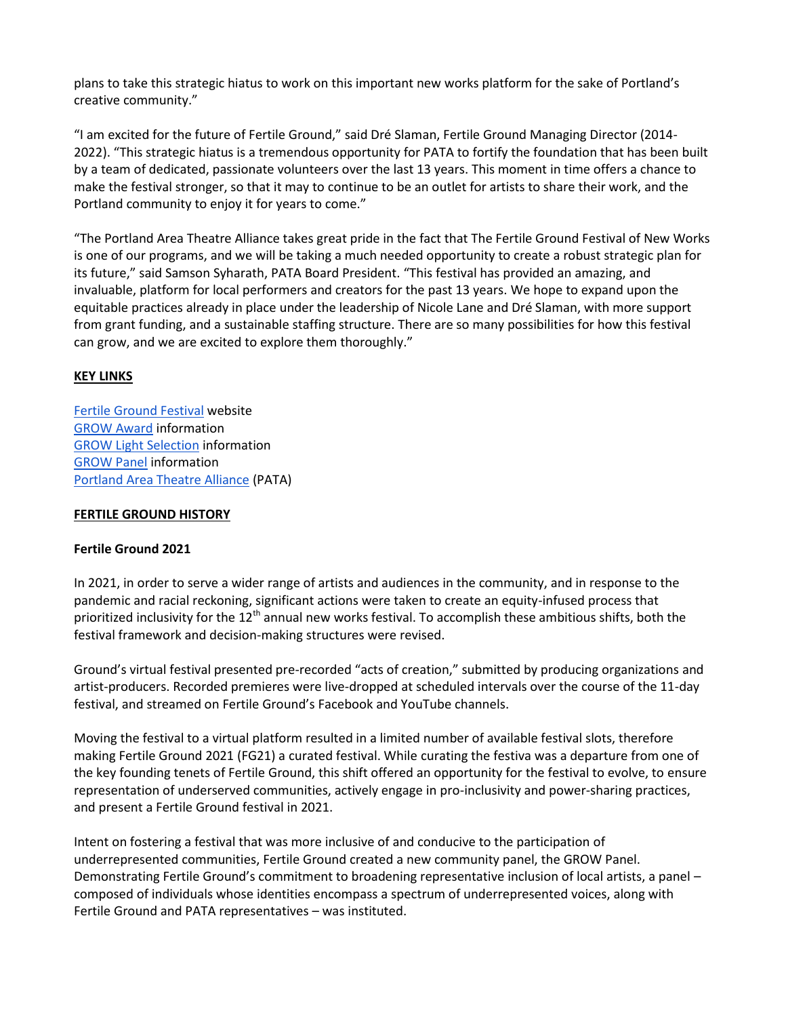plans to take this strategic hiatus to work on this important new works platform for the sake of Portland's creative community."

"I am excited for the future of Fertile Ground," said Dré Slaman, Fertile Ground Managing Director (2014- 2022). "This strategic hiatus is a tremendous opportunity for PATA to fortify the foundation that has been built by a team of dedicated, passionate volunteers over the last 13 years. This moment in time offers a chance to make the festival stronger, so that it may to continue to be an outlet for artists to share their work, and the Portland community to enjoy it for years to come."

"The Portland Area Theatre Alliance takes great pride in the fact that The Fertile Ground Festival of New Works is one of our programs, and we will be taking a much needed opportunity to create a robust strategic plan for its future," said Samson Syharath, PATA Board President. "This festival has provided an amazing, and invaluable, platform for local performers and creators for the past 13 years. We hope to expand upon the equitable practices already in place under the leadership of Nicole Lane and Dré Slaman, with more support from grant funding, and a sustainable staffing structure. There are so many possibilities for how this festival can grow, and we are excited to explore them thoroughly."

#### **KEY LINKS**

[Fertile Ground Festival](https://www.fertilegroundpdx2022.org/) website [GROW Award](https://www.fertilegroundpdx2022.org/grow-award/) information [GROW Light Selection](https://www.fertilegroundpdx2022.org/grow-light/) information [GROW Panel](https://www.fertilegroundpdx2022.org/grow-panel/) information [Portland Area Theatre Alliance](https://www.portlandtheatre.com/page-18123.portlandtheatre.com/page-18125) (PATA)

#### **FERTILE GROUND HISTORY**

#### **Fertile Ground 2021**

In 2021, in order to serve a wider range of artists and audiences in the community, and in response to the pandemic and racial reckoning, significant actions were taken to create an equity-infused process that prioritized inclusivity for the  $12<sup>th</sup>$  annual new works festival. To accomplish these ambitious shifts, both the festival framework and decision-making structures were revised.

Ground's virtual festival presented pre-recorded "acts of creation," submitted by producing organizations and artist-producers. Recorded premieres were live-dropped at scheduled intervals over the course of the 11-day festival, and streamed on Fertile Ground's Facebook and YouTube channels.

Moving the festival to a virtual platform resulted in a limited number of available festival slots, therefore making Fertile Ground 2021 (FG21) a curated festival. While curating the festiva was a departure from one of the key founding tenets of Fertile Ground, this shift offered an opportunity for the festival to evolve, to ensure representation of underserved communities, actively engage in pro-inclusivity and power-sharing practices, and present a Fertile Ground festival in 2021.

Intent on fostering a festival that was more inclusive of and conducive to the participation of underrepresented communities, Fertile Ground created a new community panel, the GROW Panel. Demonstrating Fertile Ground's commitment to broadening representative inclusion of local artists, a panel – composed of individuals whose identities encompass a spectrum of underrepresented voices, along with Fertile Ground and PATA representatives – was instituted.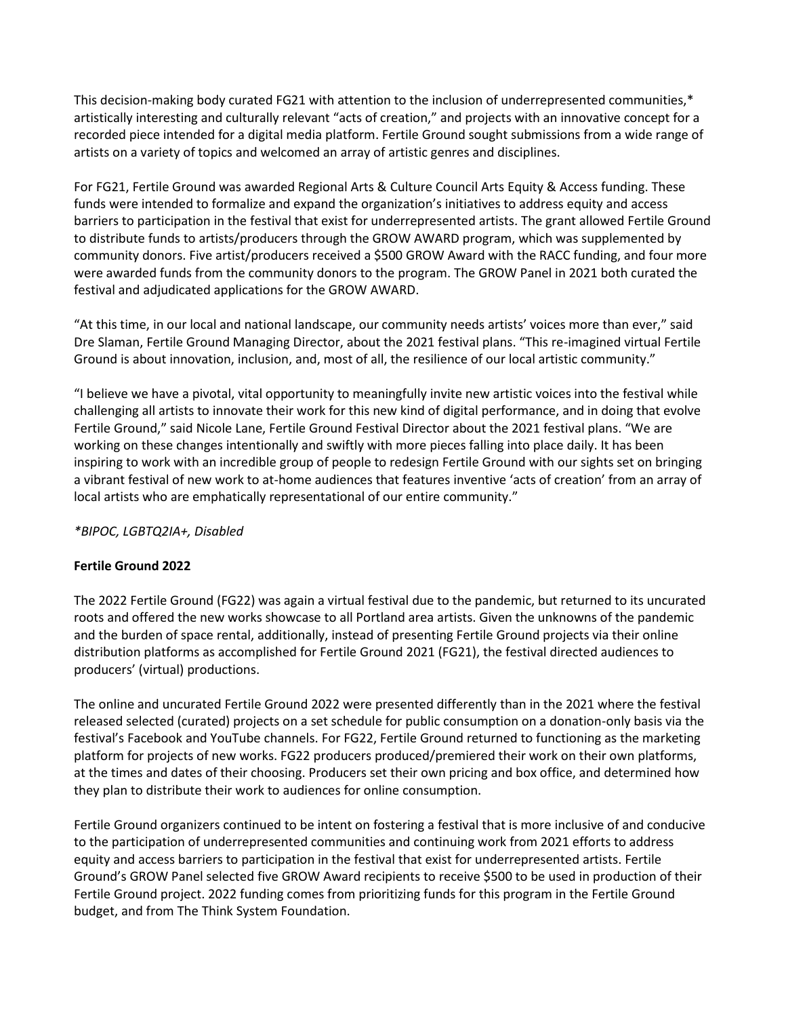This decision-making body curated FG21 with attention to the inclusion of underrepresented communities,\* artistically interesting and culturally relevant "acts of creation," and projects with an innovative concept for a recorded piece intended for a digital media platform. Fertile Ground sought submissions from a wide range of artists on a variety of topics and welcomed an array of artistic genres and disciplines.

For FG21, Fertile Ground was awarded Regional Arts & Culture Council Arts Equity & Access funding. These funds were intended to formalize and expand the organization's initiatives to address equity and access barriers to participation in the festival that exist for underrepresented artists. The grant allowed Fertile Ground to distribute funds to artists/producers through the GROW AWARD program, which was supplemented by community donors. Five artist/producers received a \$500 GROW Award with the RACC funding, and four more were awarded funds from the community donors to the program. The GROW Panel in 2021 both curated the festival and adjudicated applications for the GROW AWARD.

"At this time, in our local and national landscape, our community needs artists' voices more than ever," said Dre Slaman, Fertile Ground Managing Director, about the 2021 festival plans. "This re-imagined virtual Fertile Ground is about innovation, inclusion, and, most of all, the resilience of our local artistic community."

"I believe we have a pivotal, vital opportunity to meaningfully invite new artistic voices into the festival while challenging all artists to innovate their work for this new kind of digital performance, and in doing that evolve Fertile Ground," said Nicole Lane, Fertile Ground Festival Director about the 2021 festival plans. "We are working on these changes intentionally and swiftly with more pieces falling into place daily. It has been inspiring to work with an incredible group of people to redesign Fertile Ground with our sights set on bringing a vibrant festival of new work to at-home audiences that features inventive 'acts of creation' from an array of local artists who are emphatically representational of our entire community."

*\*BIPOC, LGBTQ2IA+, Disabled*

### **Fertile Ground 2022**

The 2022 Fertile Ground (FG22) was again a virtual festival due to the pandemic, but returned to its uncurated roots and offered the new works showcase to all Portland area artists. Given the unknowns of the pandemic and the burden of space rental, additionally, instead of presenting Fertile Ground projects via their online distribution platforms as accomplished for Fertile Ground 2021 (FG21), the festival directed audiences to producers' (virtual) productions.

The online and uncurated Fertile Ground 2022 were presented differently than in the 2021 where the festival released selected (curated) projects on a set schedule for public consumption on a donation-only basis via the festival's Facebook and YouTube channels. For FG22, Fertile Ground returned to functioning as the marketing platform for projects of new works. FG22 producers produced/premiered their work on their own platforms, at the times and dates of their choosing. Producers set their own pricing and box office, and determined how they plan to distribute their work to audiences for online consumption.

Fertile Ground organizers continued to be intent on fostering a festival that is more inclusive of and conducive to the participation of underrepresented communities and continuing work from 2021 efforts to address equity and access barriers to participation in the festival that exist for underrepresented artists. Fertile Ground's GROW Panel selected five GROW Award recipients to receive \$500 to be used in production of their Fertile Ground project. 2022 funding comes from prioritizing funds for this program in the Fertile Ground budget, and from The Think System Foundation.